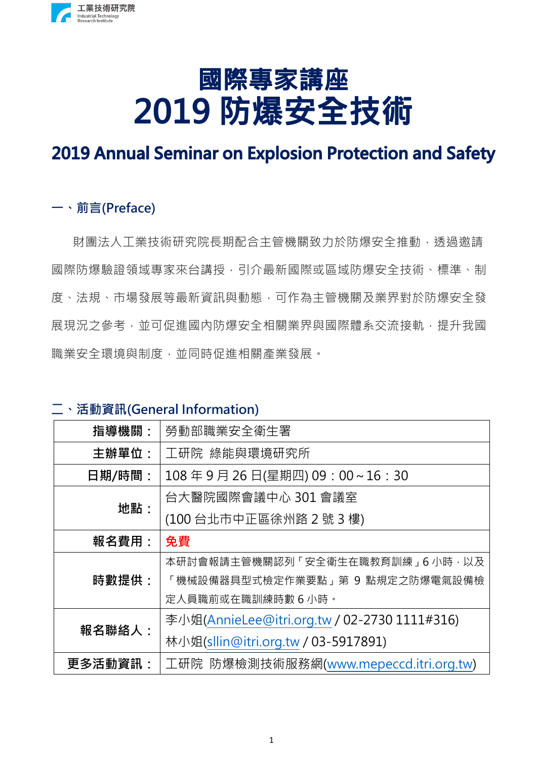

# 國際專家講座 2019 防爆安全技術

## **2019 Annual Seminar on Explosion Protection and Safety**

#### **一、前言(Preface)**

財團法人工業技術研究院長期配合主管機關致力於防爆安全推動,诱過激請 國際防爆驗證領域專家來台講授,引介最新國際或區域防爆安全技術、標準、制 度、法規、市場發展等最新資訊與動態,可作為主管機關及業界對於防爆安全發 展現況之參考,並可促進國內防爆安全相關業界與國際體系交流接軌,提升我國 職業安全環境與制度,並同時促進相關產業發展。

#### **二、活動資訊(General Information)**

| 指導機關:   | 勞動部職業安全衛生署                                   |  |  |  |
|---------|----------------------------------------------|--|--|--|
| 主辦單位:   | 工研院 綠能與環境研究所                                 |  |  |  |
| 日期/時間:  | 108年9月26日(星期四) 09:00~16:30                   |  |  |  |
| 地點:     | 台大醫院國際會議中心 301 會議室                           |  |  |  |
|         | (100台北市中正區徐州路 2號 3樓)                         |  |  |  |
| 報名費用:   | 免費                                           |  |  |  |
|         | 本研討會報請主管機關認列「安全衛生在職教育訓練」6 小時,以及              |  |  |  |
| 時數提供:   | 「機械設備器具型式檢定作業要點」第 9 點規定之防爆電氣設備檢              |  |  |  |
|         | 定人員職前或在職訓練時數 6 小時。                           |  |  |  |
| 報名聯絡人:  | 李小姐(AnnieLee@itri.org.tw / 02-2730 1111#316) |  |  |  |
|         | 林小姐(sllin@itri.org.tw / 03-5917891)          |  |  |  |
| 更多活動資訊: | 工研院 防爆檢測技術服務網(www.mepeccd.itri.org.tw)       |  |  |  |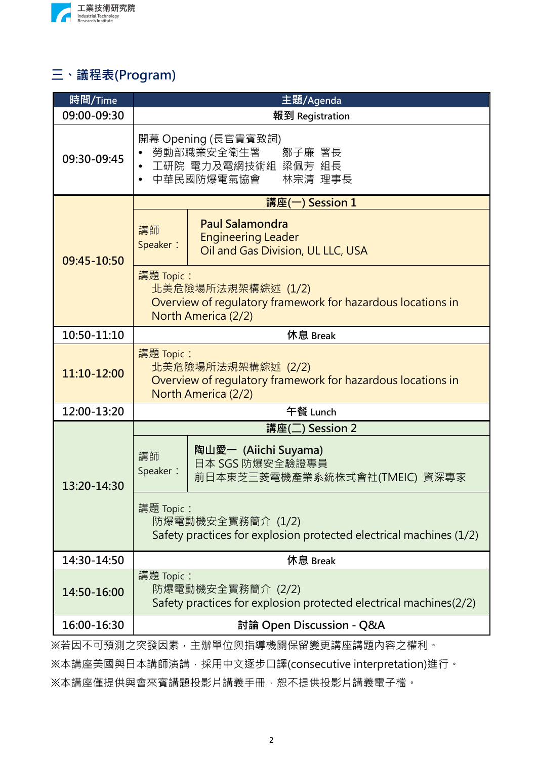

### **三、議程表(Program)**

| 時間/Time                              | 主題/Agenda                                                                                                             |  |  |  |  |
|--------------------------------------|-----------------------------------------------------------------------------------------------------------------------|--|--|--|--|
| 09:00-09:30                          | 報到 Registration                                                                                                       |  |  |  |  |
| 09:30-09:45                          | 開幕 Opening (長官貴賓致詞)<br>勞動部職業安全衛生署 鄒子廉 署長<br>工研院 電力及電網技術組 梁佩芳 組長<br>林宗清 理事長<br>中華民國防爆電氣協會                              |  |  |  |  |
| 09:45-10:50                          | 講座(一) Session 1                                                                                                       |  |  |  |  |
|                                      | <b>Paul Salamondra</b><br>講師<br><b>Engineering Leader</b><br>Speaker:<br>Oil and Gas Division, UL LLC, USA            |  |  |  |  |
|                                      | 講題 Topic:<br>北美危險場所法規架構綜述 (1/2)<br>Overview of regulatory framework for hazardous locations in<br>North America (2/2) |  |  |  |  |
| 10:50-11:10                          | 休息 Break                                                                                                              |  |  |  |  |
| 11:10-12:00                          | 講題 Topic:<br>北美危險場所法規架構綜述 (2/2)<br>Overview of regulatory framework for hazardous locations in<br>North America (2/2) |  |  |  |  |
| 12:00-13:20                          | 午餐 Lunch                                                                                                              |  |  |  |  |
|                                      | 講座(二) Session 2                                                                                                       |  |  |  |  |
| 13:20-14:30                          | 陶山愛一 (Aiichi Suyama)<br>講師<br>日本 SGS 防爆安全驗證專員<br>Speaker:<br>前日本東芝三菱電機產業系統株式會社(TMEIC) 資深專家                            |  |  |  |  |
|                                      | 講題 Topic :<br>防爆電動機安全實務簡介 (1/2)<br>Safety practices for explosion protected electrical machines (1/2)                 |  |  |  |  |
| 14:30-14:50                          | 休息 Break                                                                                                              |  |  |  |  |
| 14:50-16:00                          | 講題 Topic:<br>防爆電動機安全實務簡介 (2/2)<br>Safety practices for explosion protected electrical machines(2/2)                   |  |  |  |  |
| 16:00-16:30                          | 討論 Open Discussion - Q&A                                                                                              |  |  |  |  |
| ※若因不可預測之突發因素,主辦單位與指導機關保留變更講座講題內容之權利。 |                                                                                                                       |  |  |  |  |

※本講座美國與日本講師演講,採用中文逐步口譯(consecutive interpretation)進行。 ※本講座僅提供與會來賓講題投影片講義手冊,恕不提供投影片講義電子檔。